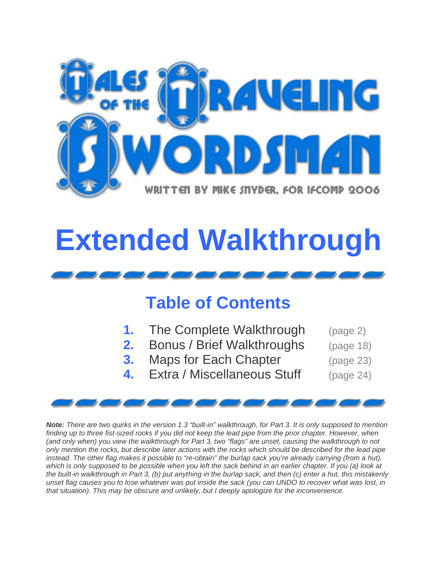

# **Extended Walkthrough**



### **Table of Contents**

- **1.** The Complete Walkthrough (page 2) **2.** Bonus / Brief Walkthroughs (page 18) **3.** Maps for Each Chapter (page 23)
	- **4.** Extra / Miscellaneous Stuff (page 24)
- -

*Note: There are two quirks in the version 1.3 "built-in" walkthrough, for Part 3. It is only supposed to mention*  finding up to three fist-sized rocks if you did not keep the lead pipe from the prior chapter. However, when *(and only when) you view the walkthrough for Part 3, two "flags" are unset, causing the walkthrough to not only mention the rocks, but describe later actions with the rocks which should be described for the lead pipe*  instead. The other flag makes it possible to "re-obtain" the burlap sack you're already carrying (from a hut), which is only supposed to be possible when you left the sack behind in an earlier chapter. If you (a) look at *the built-in walkthrough in Part 3, (b) put anything in the burlap sack, and then (c) enter a hut, this mistakenly unset flag causes you to lose whatever was put inside the sack (you can UNDO to recover what was lost, in that situation). This may be obscure and unlikely, but I deeply apologize for the inconvenience.*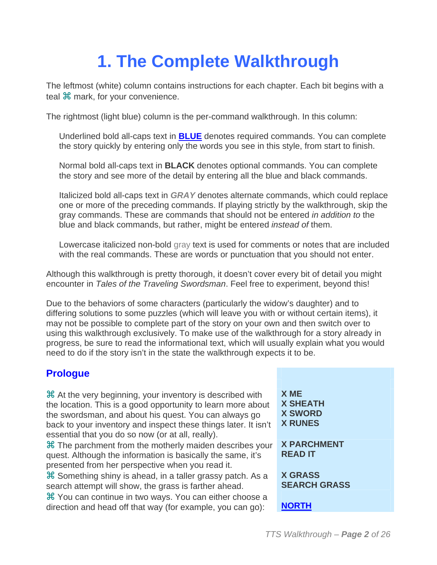## **1. The Complete Walkthrough**

The leftmost (white) column contains instructions for each chapter. Each bit begins with a teal  $\mathcal H$  mark, for your convenience.

The rightmost (light blue) column is the per-command walkthrough. In this column:

Underlined bold all-caps text in **BLUE** denotes required commands. You can complete the story quickly by entering only the words you see in this style, from start to finish.

Normal bold all-caps text in **BLACK** denotes optional commands. You can complete the story and see more of the detail by entering all the blue and black commands.

Italicized bold all-caps text in *GRAY* denotes alternate commands, which could replace one or more of the preceding commands. If playing strictly by the walkthrough, skip the gray commands. These are commands that should not be entered *in addition to* the blue and black commands, but rather, might be entered *instead of* them.

Lowercase italicized non-bold gray text is used for comments or notes that are included with the real commands. These are words or punctuation that you should not enter.

Although this walkthrough is pretty thorough, it doesn't cover every bit of detail you might encounter in *Tales of the Traveling Swordsman*. Feel free to experiment, beyond this!

Due to the behaviors of some characters (particularly the widow's daughter) and to differing solutions to some puzzles (which will leave you with or without certain items), it may not be possible to complete part of the story on your own and then switch over to using this walkthrough exclusively. To make use of the walkthrough for a story already in progress, be sure to read the informational text, which will usually explain what you would need to do if the story isn't in the state the walkthrough expects it to be.

### **Prologue**

 At the very beginning, your inventory is described with the location. This is a good opportunity to learn more about the swordsman, and about his quest. You can always go back to your inventory and inspect these things later. It isn't essential that you do so now (or at all, really).

**米 The parchment from the motherly maiden describes your** quest. Although the information is basically the same, it's presented from her perspective when you read it.

 Something shiny is ahead, in a taller grassy patch. As a search attempt will show, the grass is farther ahead.

 You can continue in two ways. You can either choose a direction and head off that way (for example, you can go): **NORTH** 

**X ME X SHEATH X SWORD X RUNES**

**X PARCHMENT READ IT**

**X GRASS SEARCH GRASS**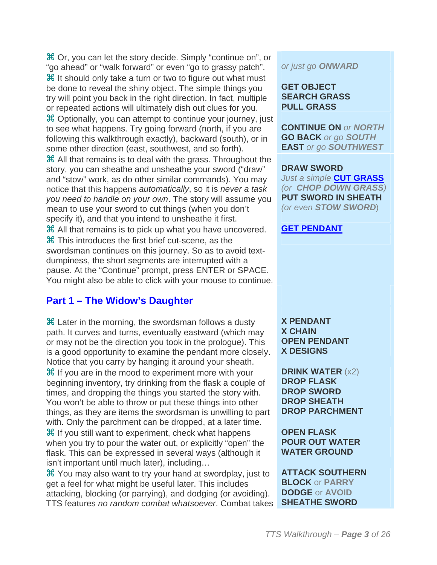Or, you can let the story decide. Simply "continue on", or "go ahead" or "walk forward" or even "go to grassy patch". *or just go ONWARD* **米 It should only take a turn or two to figure out what must** be done to reveal the shiny object. The simple things you try will point you back in the right direction. In fact, multiple or repeated actions will ultimately dish out clues for you. Optionally, you can attempt to continue your journey, just to see what happens. Try going forward (north, if you are following this walkthrough exactly), backward (south), or in some other direction (east, southwest, and so forth). All that remains is to deal with the grass. Throughout the story, you can sheathe and unsheathe your sword ("draw" and "stow" work, as do other similar commands). You may notice that this happens *automatically*, so it is *never a task you need to handle on your own*. The story will assume you mean to use your sword to cut things (when you don't specify it), and that you intend to unsheathe it first. All that remains is to pick up what you have uncovered. **GET PENDANT** This introduces the first brief cut-scene, as the swordsman continues on this journey. So as to avoid textdumpiness, the short segments are interrupted with a

pause. At the "Continue" prompt, press ENTER or SPACE. You might also be able to click with your mouse to continue.

#### **Part 1 – The Widow's Daughter**

 Later in the morning, the swordsman follows a dusty path. It curves and turns, eventually eastward (which may or may not be the direction you took in the prologue). This is a good opportunity to examine the pendant more closely. Notice that you carry by hanging it around your sheath. **H** If you are in the mood to experiment more with your beginning inventory, try drinking from the flask a couple of times, and dropping the things you started the story with. You won't be able to throw or put these things into other things, as they are items the swordsman is unwilling to part with. Only the parchment can be dropped, at a later time.  $\frac{1}{2}$  If you still want to experiment, check what happens when you try to pour the water out, or explicitly "open" the flask. This can be expressed in several ways (although it isn't important until much later), including…

 You may also want to try your hand at swordplay, just to get a feel for what might be useful later. This includes attacking, blocking (or parrying), and dodging (or avoiding). TTS features *no random combat whatsoever*. Combat takes

#### **GET OBJECT SEARCH GRASS PULL GRASS**

**CONTINUE ON** *or NORTH* **GO BACK** *or go SOUTH* **EAST** *or go SOUTHWEST*

#### **DRAW SWORD** *Just a simple* **CUT GRASS** *(or CHOP DOWN GRASS)* **PUT SWORD IN SHEATH** *(or even STOW SWORD*)

**X PENDANT X CHAIN OPEN PENDANT X DESIGNS**

**DRINK WATER** (x2) **DROP FLASK DROP SWORD DROP SHEATH DROP PARCHMENT**

**OPEN FLASK POUR OUT WATER WATER GROUND** 

**ATTACK SOUTHERN BLOCK** or **PARRY DODGE** or **AVOID SHEATHE SWORD**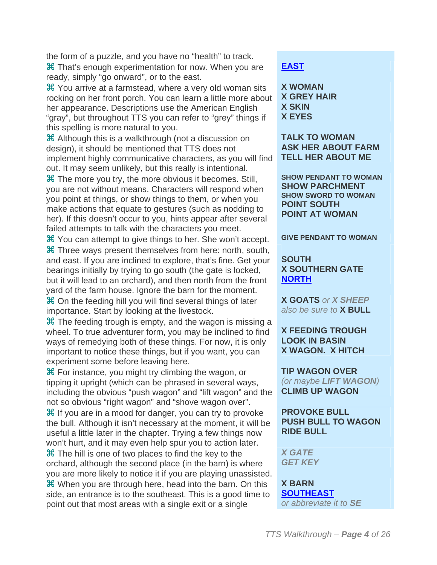the form of a puzzle, and you have no "health" to track. That's enough experimentation for now. When you are ready, simply "go onward", or to the east.

 You arrive at a farmstead, where a very old woman sits rocking on her front porch. You can learn a little more about her appearance. Descriptions use the American English "gray", but throughout TTS you can refer to "grey" things if this spelling is more natural to you.

 Although this is a walkthrough (not a discussion on design), it should be mentioned that TTS does not implement highly communicative characters, as you will find out. It may seem unlikely, but this really is intentional.

**X** The more you try, the more obvious it becomes. Still, you are not without means. Characters will respond when you point at things, or show things to them, or when you make actions that equate to gestures (such as nodding to her). If this doesn't occur to you, hints appear after several failed attempts to talk with the characters you meet.

 You can attempt to give things to her. She won't accept. **GIVE PENDANT TO WOMAN** Three ways present themselves from here: north, south, and east. If you are inclined to explore, that's fine. Get your bearings initially by trying to go south (the gate is locked, but it will lead to an orchard), and then north from the front yard of the farm house. Ignore the barn for the moment. On the feeding hill you will find several things of later importance. Start by looking at the livestock.

 $\mathcal H$  The feeding trough is empty, and the wagon is missing a wheel. To true adventurer form, you may be inclined to find ways of remedying both of these things. For now, it is only important to notice these things, but if you want, you can experiment some before leaving here.

 For instance, you might try climbing the wagon, or tipping it upright (which can be phrased in several ways, including the obvious "push wagon" and "lift wagon" and the not so obvious "right wagon" and "shove wagon over".

 If you are in a mood for danger, you can try to provoke the bull. Although it isn't necessary at the moment, it will be useful a little later in the chapter. Trying a few things now won't hurt, and it may even help spur you to action later. **X The hill is one of two places to find the key to the** orchard, although the second place (in the barn) is where you are more likely to notice it if you are playing unassisted. When you are through here, head into the barn. On this side, an entrance is to the southeast. This is a good time to point out that most areas with a single exit or a single

#### **EAST**

**X WOMAN X GREY HAIR X SKIN X EYES**

**TALK TO WOMAN ASK HER ABOUT FARM TELL HER ABOUT ME**

**SHOW PENDANT TO WOMAN SHOW PARCHMENT SHOW SWORD TO WOMAN POINT SOUTH POINT AT WOMAN**

#### **SOUTH X SOUTHERN GATE NORTH**

**X GOATS** *or X SHEEP also be sure to* **X BULL**

#### **X FEEDING TROUGH LOOK IN BASIN X WAGON. X HITCH**

**TIP WAGON OVER** *(or maybe LIFT WAGON)* **CLIMB UP WAGON**

**PROVOKE BULL PUSH BULL TO WAGON RIDE BULL**

*X GATE GET KEY*

**X BARN SOUTHEAST** *or abbreviate it to SE*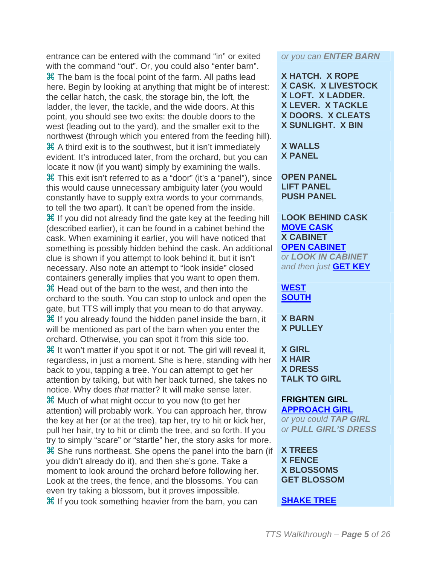entrance can be entered with the command "in" or exited with the command "out". Or, you could also "enter barn". **X The barn is the focal point of the farm. All paths lead** here. Begin by looking at anything that might be of interest: the cellar hatch, the cask, the storage bin, the loft, the ladder, the lever, the tackle, and the wide doors. At this point, you should see two exits: the double doors to the west (leading out to the yard), and the smaller exit to the northwest (through which you entered from the feeding hill). A third exit is to the southwest, but it isn't immediately evident. It's introduced later, from the orchard, but you can locate it now (if you want) simply by examining the walls. This exit isn't referred to as a "door" (it's a "panel"), since this would cause unnecessary ambiguity later (you would constantly have to supply extra words to your commands, to tell the two apart). It can't be opened from the inside.  $\frac{12}{10}$  If you did not already find the gate key at the feeding hill (described earlier), it can be found in a cabinet behind the cask. When examining it earlier, you will have noticed that something is possibly hidden behind the cask. An additional clue is shown if you attempt to look behind it, but it isn't necessary. Also note an attempt to "look inside" closed containers generally implies that you want to open them. Head out of the barn to the west, and then into the orchard to the south. You can stop to unlock and open the gate, but TTS will imply that you mean to do that anyway.  $\mathcal H$  If you already found the hidden panel inside the barn, it will be mentioned as part of the barn when you enter the orchard. Otherwise, you can spot it from this side too. **H** It won't matter if you spot it or not. The girl will reveal it, regardless, in just a moment. She is here, standing with her back to you, tapping a tree. You can attempt to get her attention by talking, but with her back turned, she takes no notice. Why does *that* matter? It will make sense later. Much of what might occur to you now (to get her attention) will probably work. You can approach her, throw the key at her (or at the tree), tap her, try to hit or kick her, pull her hair, try to hit or climb the tree, and so forth. If you try to simply "scare" or "startle" her, the story asks for more. She runs northeast. She opens the panel into the barn (if you didn't already do it), and then she's gone. Take a moment to look around the orchard before following her. Look at the trees, the fence, and the blossoms. You can even try taking a blossom, but it proves impossible. If you took something heavier from the barn, you can **SHAKE TREE**

*or you can ENTER BARN*

**X HATCH. X ROPE X CASK. X LIVESTOCK X LOFT. X LADDER. X LEVER. X TACKLE X DOORS. X CLEATS X SUNLIGHT. X BIN**

#### **X WALLS X PANEL**

**OPEN PANEL LIFT PANEL PUSH PANEL**

**LOOK BEHIND CASK MOVE CASK X CABINET OPEN CABINET** *or LOOK IN CABINET and then just* **GET KEY**

#### **WEST SOUTH**

**X BARN X PULLEY**

**X GIRL X HAIR X DRESS TALK TO GIRL**

#### **FRIGHTEN GIRL APPROACH GIRL**

*or you could TAP GIRL or PULL GIRL'S DRESS*

**X TREES X FENCE X BLOSSOMS GET BLOSSOM**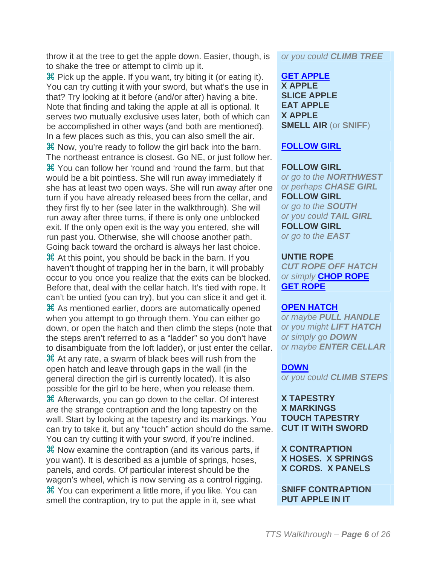throw it at the tree to get the apple down. Easier, though, is to shake the tree or attempt to climb up it.

 $\mathcal B$  Pick up the apple. If you want, try biting it (or eating it). You can try cutting it with your sword, but what's the use in that? Try looking at it before (and/or after) having a bite. Note that finding and taking the apple at all is optional. It serves two mutually exclusive uses later, both of which can be accomplished in other ways (and both are mentioned). In a few places such as this, you can also smell the air. Now, you're ready to follow the girl back into the barn. The northeast entrance is closest. Go NE, or just follow her. You can follow her 'round and 'round the farm, but that would be a bit pointless. She will run away immediately if she has at least two open ways. She will run away after one turn if you have already released bees from the cellar, and they first fly to her (see later in the walkthrough). She will run away after three turns, if there is only one unblocked exit. If the only open exit is the way you entered, she will run past you. Otherwise, she will choose another path. Going back toward the orchard is always her last choice. At this point, you should be back in the barn. If you haven't thought of trapping her in the barn, it will probably occur to you once you realize that the exits can be blocked. Before that, deal with the cellar hatch. It's tied with rope. It can't be untied (you can try), but you can slice it and get it. As mentioned earlier, doors are automatically opened when you attempt to go through them. You can either go down, or open the hatch and then climb the steps (note that the steps aren't referred to as a "ladder" so you don't have to disambiguate from the loft ladder), or just enter the cellar. At any rate, a swarm of black bees will rush from the open hatch and leave through gaps in the wall (in the general direction the girl is currently located). It is also possible for the girl to be here, when you release them. Afterwards, you can go down to the cellar. Of interest are the strange contraption and the long tapestry on the wall. Start by looking at the tapestry and its markings. You can try to take it, but any "touch" action should do the same. You can try cutting it with your sword, if you're inclined. Now examine the contraption (and its various parts, if you want). It is described as a jumble of springs, hoses, panels, and cords. Of particular interest should be the wagon's wheel, which is now serving as a control rigging. You can experiment a little more, if you like. You can smell the contraption, try to put the apple in it, see what

*or you could CLIMB TREE*

**GET APPLE X APPLE SLICE APPLE EAT APPLE X APPLE SMELL AIR** (or **SNIFF**)

#### **FOLLOW GIRL**

#### **FOLLOW GIRL** *or go to the NORTHWEST or perhaps CHASE GIRL* **FOLLOW GIRL** *or go to the SOUTH*

*or you could TAIL GIRL* **FOLLOW GIRL** *or go to the EAST*

#### **UNTIE ROPE**

*CUT ROPE OFF HATCH or simply* **CHOP ROPE GET ROPE**

#### **OPEN HATCH**

*or maybe PULL HANDLE or you might LIFT HATCH or simply go DOWN or maybe ENTER CELLAR*

#### **DOWN**

*or you could CLIMB STEPS*

#### **X TAPESTRY X MARKINGS TOUCH TAPESTRY CUT IT WITH SWORD**

**X CONTRAPTION X HOSES. X SPRINGS X CORDS. X PANELS**

**SNIFF CONTRAPTION PUT APPLE IN IT**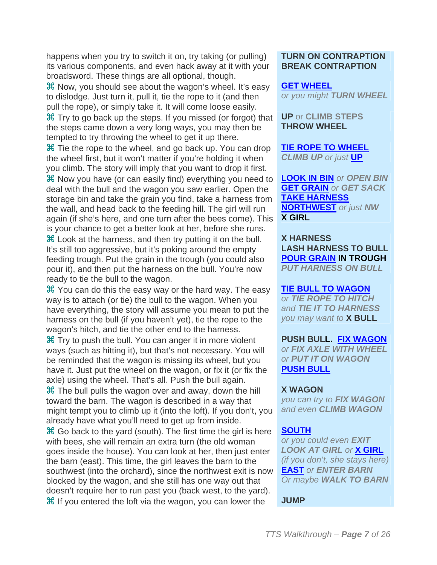happens when you try to switch it on, try taking (or pulling) its various components, and even hack away at it with your broadsword. These things are all optional, though.

 Now, you should see about the wagon's wheel. It's easy to dislodge. Just turn it, pull it, tie the rope to it (and then pull the rope), or simply take it. It will come loose easily.

 Try to go back up the steps. If you missed (or forgot) that the steps came down a very long ways, you may then be tempted to try throwing the wheel to get it up there.

 $\frac{42}{10}$  Tie the rope to the wheel, and go back up. You can drop the wheel first, but it won't matter if you're holding it when you climb. The story will imply that you want to drop it first. Now you have (or can easily find) everything you need to deal with the bull and the wagon you saw earlier. Open the storage bin and take the grain you find, take a harness from the wall, and head back to the feeding hill. The girl will run again (if she's here, and one turn after the bees come). This is your chance to get a better look at her, before she runs. Look at the harness, and then try putting it on the bull. It's still too aggressive, but it's poking around the empty feeding trough. Put the grain in the trough (you could also pour it), and then put the harness on the bull. You're now ready to tie the bull to the wagon.

 You can do this the easy way or the hard way. The easy way is to attach (or tie) the bull to the wagon. When you have everything, the story will assume you mean to put the harness on the bull (if you haven't yet), tie the rope to the wagon's hitch, and tie the other end to the harness.

 Try to push the bull. You can anger it in more violent ways (such as hitting it), but that's not necessary. You will be reminded that the wagon is missing its wheel, but you have it. Just put the wheel on the wagon, or fix it (or fix the axle) using the wheel. That's all. Push the bull again.

**Xf** The bull pulls the wagon over and away, down the hill toward the barn. The wagon is described in a way that might tempt you to climb up it (into the loft). If you don't, you already have what you'll need to get up from inside.

 $\mathcal H$  Go back to the yard (south). The first time the girl is here with bees, she will remain an extra turn (the old woman goes inside the house). You can look at her, then just enter the barn (east). This time, the girl leaves the barn to the southwest (into the orchard), since the northwest exit is now blocked by the wagon, and she still has one way out that doesn't require her to run past you (back west, to the yard). If you entered the loft via the wagon, you can lower the **JUMP**

#### **TURN ON CONTRAPTION BREAK CONTRAPTION**

#### **GET WHEEL**

*or you might TURN WHEEL*

**UP** or **CLIMB STEPS THROW WHEEL**

**TIE ROPE TO WHEEL** *CLIMB UP or just* **UP**

**LOOK IN BIN** *or OPEN BIN* **GET GRAIN** *or GET SACK* **TAKE HARNESS NORTHWEST** *or just NW* **X GIRL**

**X HARNESS LASH HARNESS TO BULL POUR GRAIN IN TROUGH** *PUT HARNESS ON BULL*

#### **TIE BULL TO WAGON**

*or TIE ROPE TO HITCH and TIE IT TO HARNESS you may want to* **X BULL**

#### **PUSH BULL. FIX WAGON**

*or FIX AXLE WITH WHEEL or PUT IT ON WAGON* **PUSH BULL**

#### **X WAGON**

*you can try to FIX WAGON and even CLIMB WAGON*

#### **SOUTH**

*or you could even EXIT LOOK AT GIRL or* **X GIRL** *(if you don't, she stays here)* **EAST** *or ENTER BARN Or maybe WALK TO BARN*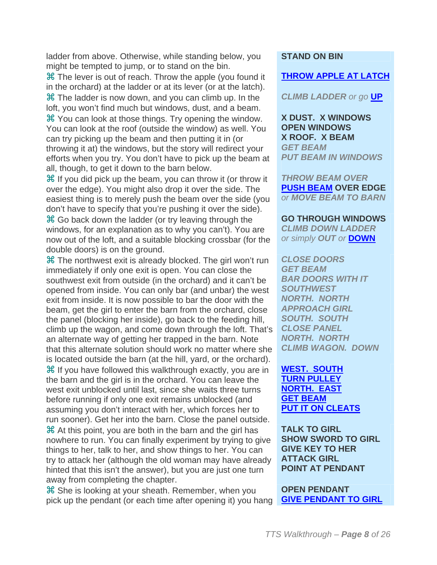ladder from above. Otherwise, while standing below, you might be tempted to jump, or to stand on the bin.

 The lever is out of reach. Throw the apple (you found it in the orchard) at the ladder or at its lever (or at the latch). **米 The ladder is now down, and you can climb up. In the** loft, you won't find much but windows, dust, and a beam. You can look at those things. Try opening the window. You can look at the roof (outside the window) as well. You can try picking up the beam and then putting it in (or throwing it at) the windows, but the story will redirect your efforts when you try. You don't have to pick up the beam at all, though, to get it down to the barn below.

 If you did pick up the beam, you can throw it (or throw it over the edge). You might also drop it over the side. The easiest thing is to merely push the beam over the side (you don't have to specify that you're pushing it over the side). Go back down the ladder (or try leaving through the windows, for an explanation as to why you can't). You are now out of the loft, and a suitable blocking crossbar (for the double doors) is on the ground.

 The northwest exit is already blocked. The girl won't run immediately if only one exit is open. You can close the southwest exit from outside (in the orchard) and it can't be opened from inside. You can only bar (and unbar) the west exit from inside. It is now possible to bar the door with the beam, get the girl to enter the barn from the orchard, close the panel (blocking her inside), go back to the feeding hill, climb up the wagon, and come down through the loft. That's an alternate way of getting her trapped in the barn. Note that this alternate solution should work no matter where she is located outside the barn (at the hill, yard, or the orchard).

 $\mathcal H$  If you have followed this walkthrough exactly, you are in the barn and the girl is in the orchard. You can leave the west exit unblocked until last, since she waits three turns before running if only one exit remains unblocked (and assuming you don't interact with her, which forces her to run sooner). Get her into the barn. Close the panel outside.

 At this point, you are both in the barn and the girl has nowhere to run. You can finally experiment by trying to give things to her, talk to her, and show things to her. You can try to attack her (although the old woman may have already hinted that this isn't the answer), but you are just one turn away from completing the chapter.

 She is looking at your sheath. Remember, when you pick up the pendant (or each time after opening it) you hang

#### **STAND ON BIN**

#### **THROW APPLE AT LATCH**

*CLIMB LADDER or go* **UP**

**X DUST. X WINDOWS OPEN WINDOWS X ROOF. X BEAM** *GET BEAM PUT BEAM IN WINDOWS*

*THROW BEAM OVER* **PUSH BEAM OVER EDGE** *or MOVE BEAM TO BARN*

**GO THROUGH WINDOWS** *CLIMB DOWN LADDER*

*or simply OUT or* **DOWN**

*CLOSE DOORS GET BEAM BAR DOORS WITH IT SOUTHWEST NORTH. NORTH APPROACH GIRL SOUTH. SOUTH CLOSE PANEL NORTH. NORTH CLIMB WAGON. DOWN*

**WEST. SOUTH TURN PULLEY NORTH. EAST GET BEAM PUT IT ON CLEATS**

**TALK TO GIRL SHOW SWORD TO GIRL GIVE KEY TO HER ATTACK GIRL POINT AT PENDANT**

**OPEN PENDANT GIVE PENDANT TO GIRL**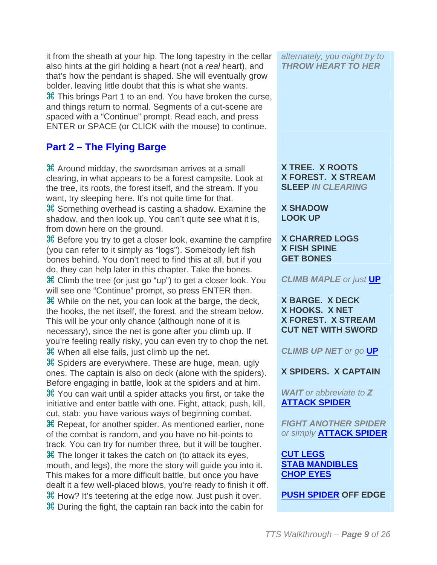it from the sheath at your hip. The long tapestry in the cellar also hints at the girl holding a heart (not a *real* heart), and that's how the pendant is shaped. She will eventually grow bolder, leaving little doubt that this is what she wants. **米 This brings Part 1 to an end. You have broken the curse,** and things return to normal. Segments of a cut-scene are spaced with a "Continue" prompt. Read each, and press ENTER or SPACE (or CLICK with the mouse) to continue.

### **Part 2 – The Flying Barge**

 Around midday, the swordsman arrives at a small clearing, in what appears to be a forest campsite. Look at the tree, its roots, the forest itself, and the stream. If you want, try sleeping here. It's not quite time for that. **米 Something overhead is casting a shadow. Examine the** shadow, and then look up. You can't quite see what it is, from down here on the ground.

**H** Before you try to get a closer look, examine the campfire (you can refer to it simply as "logs"). Somebody left fish bones behind. You don't need to find this at all, but if you do, they can help later in this chapter. Take the bones. Climb the tree (or just go "up") to get a closer look. You will see one "Continue" prompt, so press ENTER then. While on the net, you can look at the barge, the deck, the hooks, the net itself, the forest, and the stream below. This will be your only chance (although none of it is necessary), since the net is gone after you climb up. If you're feeling really risky, you can even try to chop the net. When all else fails, just climb up the net. *CLIMB UP NET or go* **UP**

 $\frac{1}{2}$  Spiders are everywhere. These are huge, mean, ugly ones. The captain is also on deck (alone with the spiders). Before engaging in battle, look at the spiders and at him. You can wait until a spider attacks you first, or take the initiative and enter battle with one. Fight, attack, push, kill, cut, stab: you have various ways of beginning combat. **米 Repeat, for another spider. As mentioned earlier, none** of the combat is random, and you have no hit-points to track. You can try for number three, but it will be tougher. **H** The longer it takes the catch on (to attack its eyes, mouth, and legs), the more the story will guide you into it. This makes for a more difficult battle, but once you have dealt it a few well-placed blows, you're ready to finish it off. How? It's teetering at the edge now. Just push it over. **PUSH SPIDER OFF EDGE** During the fight, the captain ran back into the cabin for

*alternately, you might try to THROW HEART TO HER*

**X TREE. X ROOTS X FOREST. X STREAM SLEEP** *IN CLEARING*

**X SHADOW LOOK UP**

#### **X CHARRED LOGS X FISH SPINE GET BONES**

*CLIMB MAPLE or just* **UP**

**X BARGE. X DECK X HOOKS. X NET X FOREST. X STREAM CUT NET WITH SWORD**

**X SPIDERS. X CAPTAIN**

*WAIT or abbreviate to Z* **ATTACK SPIDER**

*FIGHT ANOTHER SPIDER or simply* **ATTACK SPIDER**

**CUT LEGS STAB MANDIBLES CHOP EYES**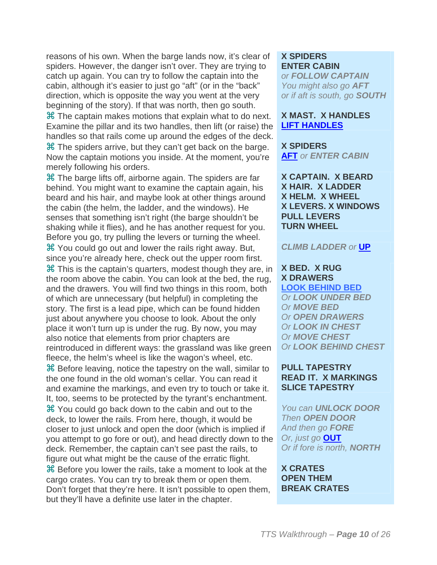reasons of his own. When the barge lands now, it's clear of spiders. However, the danger isn't over. They are trying to catch up again. You can try to follow the captain into the cabin, although it's easier to just go "aft" (or in the "back" direction, which is opposite the way you went at the very beginning of the story). If that was north, then go south. **米 The captain makes motions that explain what to do next.** Examine the pillar and its two handles, then lift (or raise) the handles so that rails come up around the edges of the deck.  $\frac{1}{2}$  **The spiders arrive, but they can't get back on the barge.** Now the captain motions you inside. At the moment, you're

merely following his orders.

 The barge lifts off, airborne again. The spiders are far behind. You might want to examine the captain again, his beard and his hair, and maybe look at other things around the cabin (the helm, the ladder, and the windows). He senses that something isn't right (the barge shouldn't be shaking while it flies), and he has another request for you. Before you go, try pulling the levers or turning the wheel. You could go out and lower the rails right away. But, since you're already here, check out the upper room first. This is the captain's quarters, modest though they are, in the room above the cabin. You can look at the bed, the rug, and the drawers. You will find two things in this room, both of which are unnecessary (but helpful) in completing the story. The first is a lead pipe, which can be found hidden just about anywhere you choose to look. About the only place it won't turn up is under the rug. By now, you may also notice that elements from prior chapters are reintroduced in different ways: the grassland was like green fleece, the helm's wheel is like the wagon's wheel, etc.

**H** Before leaving, notice the tapestry on the wall, similar to the one found in the old woman's cellar. You can read it and examine the markings, and even try to touch or take it. It, too, seems to be protected by the tyrant's enchantment. You could go back down to the cabin and out to the deck, to lower the rails. From here, though, it would be closer to just unlock and open the door (which is implied if you attempt to go fore or out), and head directly down to the deck. Remember, the captain can't see past the rails, to figure out what might be the cause of the erratic flight.  $\mathcal B$  Before you lower the rails, take a moment to look at the cargo crates. You can try to break them or open them. Don't forget that they're here. It isn't possible to open them, but they'll have a definite use later in the chapter.

#### **X SPIDERS ENTER CABIN**

*or FOLLOW CAPTAIN You might also go AFT or if aft is south, go SOUTH*

#### **X MAST. X HANDLES LIFT HANDLES**

**X SPIDERS AFT** *or ENTER CABIN*

**X CAPTAIN. X BEARD X HAIR. X LADDER X HELM. X WHEEL X LEVERS. X WINDOWS PULL LEVERS TURN WHEEL**

#### *CLIMB LADDER or* **UP**

#### **X BED. X RUG X DRAWERS**

**LOOK BEHIND BED** *Or LOOK UNDER BED Or MOVE BED Or OPEN DRAWERS Or LOOK IN CHEST Or MOVE CHEST Or LOOK BEHIND CHEST*

#### **PULL TAPESTRY READ IT. X MARKINGS SLICE TAPESTRY**

*You can UNLOCK DOOR Then OPEN DOOR And then go FORE Or, just go* **OUT** *Or if fore is north, NORTH*

#### **X CRATES OPEN THEM BREAK CRATES**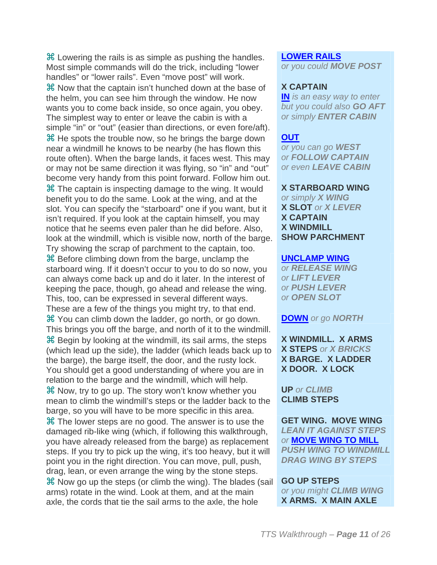Lowering the rails is as simple as pushing the handles. Most simple commands will do the trick, including "lower handles" or "lower rails". Even "move post" will work. Now that the captain isn't hunched down at the base of the helm, you can see him through the window. He now wants you to come back inside, so once again, you obey. The simplest way to enter or leave the cabin is with a simple "in" or "out" (easier than directions, or even fore/aft). **X** He spots the trouble now, so he brings the barge down near a windmill he knows to be nearby (he has flown this route often). When the barge lands, it faces west. This may or may not be same direction it was flying, so "in" and "out" become very handy from this point forward. Follow him out. **H** The captain is inspecting damage to the wing. It would benefit you to do the same. Look at the wing, and at the slot. You can specify the "starboard" one if you want, but it isn't required. If you look at the captain himself, you may notice that he seems even paler than he did before. Also, look at the windmill, which is visible now, north of the barge. Try showing the scrap of parchment to the captain, too. **B** Before climbing down from the barge, unclamp the starboard wing. If it doesn't occur to you to do so now, you can always come back up and do it later. In the interest of keeping the pace, though, go ahead and release the wing. This, too, can be expressed in several different ways. These are a few of the things you might try, to that end. You can climb down the ladder, go north, or go down. This brings you off the barge, and north of it to the windmill. **H** Begin by looking at the windmill, its sail arms, the steps (which lead up the side), the ladder (which leads back up to the barge), the barge itself, the door, and the rusty lock. You should get a good understanding of where you are in relation to the barge and the windmill, which will help. **H** Now, try to go up. The story won't know whether you mean to climb the windmill's steps or the ladder back to the barge, so you will have to be more specific in this area. **Xf** The lower steps are no good. The answer is to use the damaged rib-like wing (which, if following this walkthrough, you have already released from the barge) as replacement steps. If you try to pick up the wing, it's too heavy, but it will point you in the right direction. You can move, pull, push, drag, lean, or even arrange the wing by the stone steps.  $\frac{4}{3}$  Now go up the steps (or climb the wing). The blades (sail arms) rotate in the wind. Look at them, and at the main axle, the cords that tie the sail arms to the axle, the hole

#### **LOWER RAILS**

*or you could MOVE POST*

#### **X CAPTAIN**

**IN** *is an easy way to enter but you could also GO AFT or simply ENTER CABIN*

#### **OUT**

*or you can go WEST or FOLLOW CAPTAIN or even LEAVE CABIN*

#### **X STARBOARD WING**

*or simply X WING* **X SLOT** *or X LEVER* **X CAPTAIN X WINDMILL SHOW PARCHMENT**

#### **UNCLAMP WING**

*or RELEASE WING or LIFT LEVER or PUSH LEVER or OPEN SLOT*

#### **DOWN** *or go NORTH*

**X WINDMILL. X ARMS X STEPS** *or X BRICKS* **X BARGE. X LADDER X DOOR. X LOCK**

#### **UP** *or CLIMB* **CLIMB STEPS**

**GET WING. MOVE WING** *LEAN IT AGAINST STEPS or* **MOVE WING TO MILL** *PUSH WING TO WINDMILL DRAG WING BY STEPS*

#### **GO UP STEPS**

*or you might CLIMB WING* **X ARMS. X MAIN AXLE**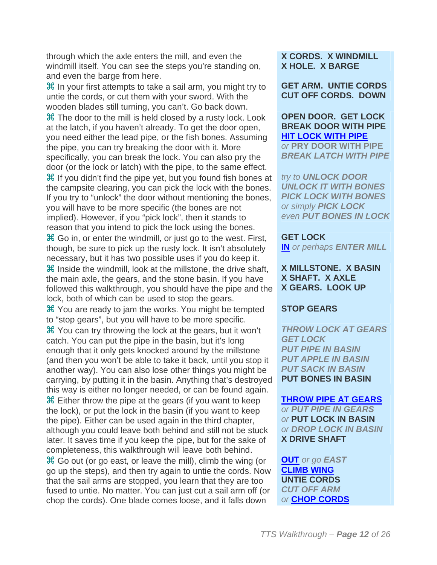through which the axle enters the mill, and even the windmill itself. You can see the steps you're standing on, and even the barge from here.

 $\mathcal H$  In your first attempts to take a sail arm, you might try to untie the cords, or cut them with your sword. With the wooden blades still turning, you can't. Go back down. **米 The door to the mill is held closed by a rusty lock. Look** at the latch, if you haven't already. To get the door open, you need either the lead pipe, or the fish bones. Assuming the pipe, you can try breaking the door with it. More specifically, you can break the lock. You can also pry the door (or the lock or latch) with the pipe, to the same effect. If you didn't find the pipe yet, but you found fish bones at the campsite clearing, you can pick the lock with the bones. If you try to "unlock" the door without mentioning the bones, you will have to be more specific (the bones are not implied). However, if you "pick lock", then it stands to reason that you intend to pick the lock using the bones. Go in, or enter the windmill, or just go to the west. First, though, be sure to pick up the rusty lock. It isn't absolutely necessary, but it has two possible uses if you do keep it.  $\mathcal H$  Inside the windmill, look at the millstone, the drive shaft, the main axle, the gears, and the stone basin. If you have followed this walkthrough, you should have the pipe and the lock, both of which can be used to stop the gears. You are ready to jam the works. You might be tempted to "stop gears", but you will have to be more specific. You can try throwing the lock at the gears, but it won't catch. You can put the pipe in the basin, but it's long enough that it only gets knocked around by the millstone (and then you won't be able to take it back, until you stop it another way). You can also lose other things you might be carrying, by putting it in the basin. Anything that's destroyed this way is either no longer needed, or can be found again.

 Either throw the pipe at the gears (if you want to keep the lock), or put the lock in the basin (if you want to keep the pipe). Either can be used again in the third chapter, although you could leave both behind and still not be stuck later. It saves time if you keep the pipe, but for the sake of completeness, this walkthrough will leave both behind.

 Go out (or go east, or leave the mill), climb the wing (or go up the steps), and then try again to untie the cords. Now that the sail arms are stopped, you learn that they are too fused to untie. No matter. You can just cut a sail arm off (or chop the cords). One blade comes loose, and it falls down

#### **X CORDS. X WINDMILL X HOLE. X BARGE**

**GET ARM. UNTIE CORDS CUT OFF CORDS. DOWN**

#### **OPEN DOOR. GET LOCK BREAK DOOR WITH PIPE HIT LOCK WITH PIPE**

*or* **PRY DOOR WITH PIPE** *BREAK LATCH WITH PIPE*

*try to UNLOCK DOOR UNLOCK IT WITH BONES PICK LOCK WITH BONES or simply PICK LOCK even PUT BONES IN LOCK*

#### **GET LOCK**

**IN** *or perhaps ENTER MILL*

#### **X MILLSTONE. X BASIN X SHAFT. X AXLE X GEARS. LOOK UP**

#### **STOP GEARS**

*THROW LOCK AT GEARS GET LOCK PUT PIPE IN BASIN PUT APPLE IN BASIN PUT SACK IN BASIN* **PUT BONES IN BASIN**

#### **THROW PIPE AT GEARS**

*or PUT PIPE IN GEARS or* **PUT LOCK IN BASIN** *or DROP LOCK IN BASIN* **X DRIVE SHAFT**

**OUT** *or go EAST* **CLIMB WING UNTIE CORDS** *CUT OFF ARM or* **CHOP CORDS**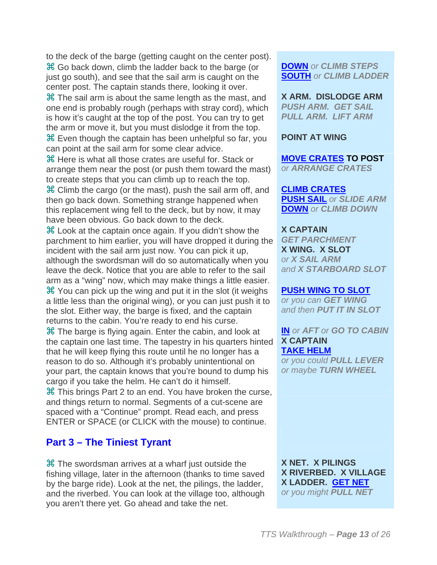to the deck of the barge (getting caught on the center post). Go back down, climb the ladder back to the barge (or just go south), and see that the sail arm is caught on the center post. The captain stands there, looking it over.

**X The sail arm is about the same length as the mast, and** one end is probably rough (perhaps with stray cord), which is how it's caught at the top of the post. You can try to get the arm or move it, but you must dislodge it from the top. Even though the captain has been unhelpful so far, you can point at the sail arm for some clear advice.

 Here is what all those crates are useful for. Stack or arrange them near the post (or push them toward the mast) to create steps that you can climb up to reach the top.

 Climb the cargo (or the mast), push the sail arm off, and then go back down. Something strange happened when this replacement wing fell to the deck, but by now, it may have been obvious. Go back down to the deck.

 Look at the captain once again. If you didn't show the parchment to him earlier, you will have dropped it during the incident with the sail arm just now. You can pick it up, although the swordsman will do so automatically when you leave the deck. Notice that you are able to refer to the sail arm as a "wing" now, which may make things a little easier. You can pick up the wing and put it in the slot (it weighs a little less than the original wing), or you can just push it to the slot. Either way, the barge is fixed, and the captain returns to the cabin. You're ready to end his curse.

 The barge is flying again. Enter the cabin, and look at the captain one last time. The tapestry in his quarters hinted that he will keep flying this route until he no longer has a reason to do so. Although it's probably unintentional on your part, the captain knows that you're bound to dump his cargo if you take the helm. He can't do it himself.

**H** This brings Part 2 to an end. You have broken the curse, and things return to normal. Segments of a cut-scene are spaced with a "Continue" prompt. Read each, and press ENTER or SPACE (or CLICK with the mouse) to continue.

#### **Part 3 – The Tiniest Tyrant**

 The swordsman arrives at a wharf just outside the fishing village, later in the afternoon (thanks to time saved by the barge ride). Look at the net, the pilings, the ladder, and the riverbed. You can look at the village too, although you aren't there yet. Go ahead and take the net.

**DOWN** *or CLIMB STEPS* **SOUTH** *or CLIMB LADDER*

**X ARM. DISLODGE ARM** *PUSH ARM. GET SAIL PULL ARM. LIFT ARM*

#### **POINT AT WING**

**MOVE CRATES TO POST** *or ARRANGE CRATES*

**CLIMB CRATES PUSH SAIL** *or SLIDE ARM* **DOWN** *or CLIMB DOWN*

**X CAPTAIN** *GET PARCHMENT* **X WING. X SLOT** *or X SAIL ARM and X STARBOARD SLOT*

#### **PUSH WING TO SLOT**

*or you can GET WING and then PUT IT IN SLOT*

**IN** *or AFT or GO TO CABIN* **X CAPTAIN TAKE HELM**

*or you could PULL LEVER or maybe TURN WHEEL*

**X NET. X PILINGS X RIVERBED. X VILLAGE X LADDER. GET NET** *or you might PULL NET*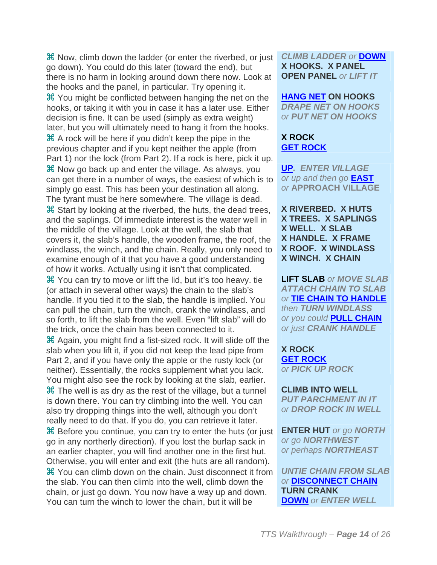Now, climb down the ladder (or enter the riverbed, or just go down). You could do this later (toward the end), but there is no harm in looking around down there now. Look at the hooks and the panel, in particular. Try opening it. You might be conflicted between hanging the net on the hooks, or taking it with you in case it has a later use. Either decision is fine. It can be used (simply as extra weight) later, but you will ultimately need to hang it from the hooks. A rock will be here if you didn't keep the pipe in the previous chapter and if you kept neither the apple (from Part 1) nor the lock (from Part 2). If a rock is here, pick it up. Now go back up and enter the village. As always, you can get there in a number of ways, the easiest of which is to simply go east. This has been your destination all along. The tyrant must be here somewhere. The village is dead. Start by looking at the riverbed, the huts, the dead trees, and the saplings. Of immediate interest is the water well in the middle of the village. Look at the well, the slab that covers it, the slab's handle, the wooden frame, the roof, the windlass, the winch, and the chain. Really, you only need to examine enough of it that you have a good understanding of how it works. Actually using it isn't that complicated. You can try to move or lift the lid, but it's too heavy. tie (or attach in several other ways) the chain to the slab's handle. If you tied it to the slab, the handle is implied. You can pull the chain, turn the winch, crank the windlass, and so forth, to lift the slab from the well. Even "lift slab" will do the trick, once the chain has been connected to it. Again, you might find a fist-sized rock. It will slide off the slab when you lift it, if you did not keep the lead pipe from Part 2, and if you have only the apple or the rusty lock (or neither). Essentially, the rocks supplement what you lack. You might also see the rock by looking at the slab, earlier.  $\frac{1}{10}$  The well is as dry as the rest of the village, but a tunnel is down there. You can try climbing into the well. You can also try dropping things into the well, although you don't really need to do that. If you do, you can retrieve it later. Before you continue, you can try to enter the huts (or just go in any northerly direction). If you lost the burlap sack in an earlier chapter, you will find another one in the first hut. Otherwise, you will enter and exit (the huts are all random). You can climb down on the chain. Just disconnect it from the slab. You can then climb into the well, climb down the chain, or just go down. You now have a way up and down. You can turn the winch to lower the chain, but it will be

*CLIMB LADDER or* **DOWN X HOOKS. X PANEL OPEN PANEL** *or LIFT IT*

#### **HANG NET ON HOOKS**

*DRAPE NET ON HOOKS or PUT NET ON HOOKS*

#### **X ROCK GET ROCK**

**UP***. ENTER VILLAGE or up and then go* **EAST** *or* **APPROACH VILLAGE**

**X RIVERBED. X HUTS X TREES. X SAPLINGS X WELL. X SLAB X HANDLE. X FRAME X ROOF. X WINDLASS X WINCH. X CHAIN**

**LIFT SLAB** *or MOVE SLAB ATTACH CHAIN TO SLAB or* **TIE CHAIN TO HANDLE** *then TURN WINDLASS or you could* **PULL CHAIN** *or just CRANK HANDLE*

**X ROCK GET ROCK** *or PICK UP ROCK*

**CLIMB INTO WELL** *PUT PARCHMENT IN IT or DROP ROCK IN WELL*

**ENTER HUT** *or go NORTH or go NORTHWEST or perhaps NORTHEAST*

*UNTIE CHAIN FROM SLAB or* **DISCONNECT CHAIN TURN CRANK DOWN** *or ENTER WELL*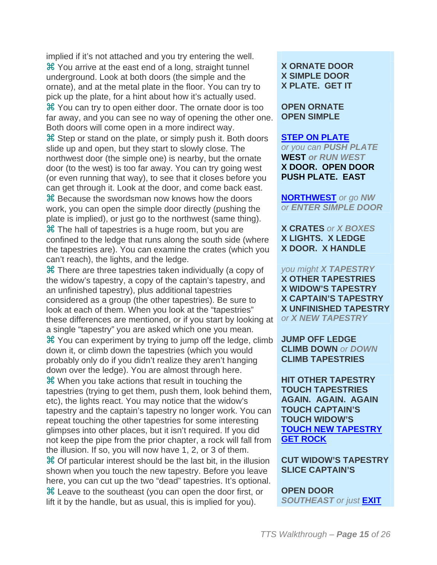implied if it's not attached and you try entering the well. You arrive at the east end of a long, straight tunnel underground. Look at both doors (the simple and the ornate), and at the metal plate in the floor. You can try to pick up the plate, for a hint about how it's actually used. You can try to open either door. The ornate door is too far away, and you can see no way of opening the other one. Both doors will come open in a more indirect way. Step or stand on the plate, or simply push it. Both doors slide up and open, but they start to slowly close. The northwest door (the simple one) is nearby, but the ornate door (to the west) is too far away. You can try going west (or even running that way), to see that it closes before you can get through it. Look at the door, and come back east. Because the swordsman now knows how the doors work, you can open the simple door directly (pushing the plate is implied), or just go to the northwest (same thing).  $\mathcal H$  The hall of tapestries is a huge room, but you are confined to the ledge that runs along the south side (where the tapestries are). You can examine the crates (which you can't reach), the lights, and the ledge.

 There are three tapestries taken individually (a copy of the widow's tapestry, a copy of the captain's tapestry, and an unfinished tapestry), plus additional tapestries considered as a group (the other tapestries). Be sure to look at each of them. When you look at the "tapestries" these differences are mentioned, or if you start by looking at a single "tapestry" you are asked which one you mean.

 You can experiment by trying to jump off the ledge, climb down it, or climb down the tapestries (which you would probably only do if you didn't realize they aren't hanging down over the ledge). You are almost through here.

 When you take actions that result in touching the tapestries (trying to get them, push them, look behind them, etc), the lights react. You may notice that the widow's tapestry and the captain's tapestry no longer work. You can repeat touching the other tapestries for some interesting glimpses into other places, but it isn't required. If you did not keep the pipe from the prior chapter, a rock will fall from the illusion. If so, you will now have 1, 2, or 3 of them.

 Of particular interest should be the last bit, in the illusion shown when you touch the new tapestry. Before you leave here, you can cut up the two "dead" tapestries. It's optional. Leave to the southeast (you can open the door first, or lift it by the handle, but as usual, this is implied for you).

#### **X ORNATE DOOR X SIMPLE DOOR X PLATE. GET IT**

**OPEN ORNATE OPEN SIMPLE**

#### **STEP ON PLATE**

*or you can PUSH PLATE* **WEST** *or RUN WEST* **X DOOR. OPEN DOOR PUSH PLATE. EAST**

**NORTHWEST** *or go NW or ENTER SIMPLE DOOR*

#### **X CRATES** *or X BOXES* **X LIGHTS. X LEDGE X DOOR. X HANDLE**

*you might X TAPESTRY* **X OTHER TAPESTRIES X WIDOW'S TAPESTRY X CAPTAIN'S TAPESTRY X UNFINISHED TAPESTRY** *or X NEW TAPESTRY*

#### **JUMP OFF LEDGE CLIMB DOWN** *or DOWN* **CLIMB TAPESTRIES**

**HIT OTHER TAPESTRY TOUCH TAPESTRIES AGAIN. AGAIN. AGAIN TOUCH CAPTAIN'S TOUCH WIDOW'S TOUCH NEW TAPESTRY GET ROCK**

#### **CUT WIDOW'S TAPESTRY SLICE CAPTAIN'S**

**OPEN DOOR** *SOUTHEAST or just* **EXIT**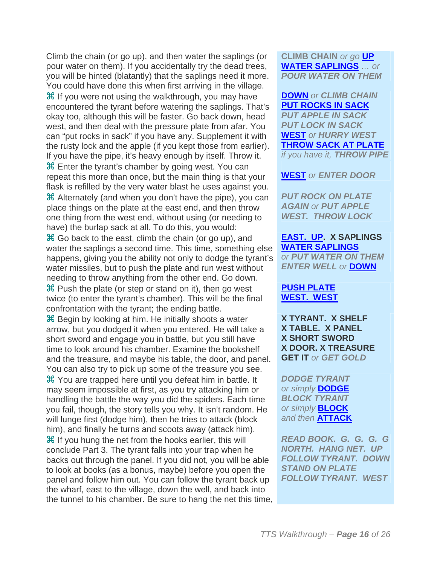Climb the chain (or go up), and then water the saplings (or pour water on them). If you accidentally try the dead trees, you will be hinted (blatantly) that the saplings need it more. You could have done this when first arriving in the village. **米** If you were not using the walkthrough, you may have encountered the tyrant before watering the saplings. That's okay too, although this will be faster. Go back down, head west, and then deal with the pressure plate from afar. You can "put rocks in sack" if you have any. Supplement it with the rusty lock and the apple (if you kept those from earlier). If you have the pipe, it's heavy enough by itself. Throw it. Enter the tyrant's chamber by going west. You can repeat this more than once, but the main thing is that your flask is refilled by the very water blast he uses against you. Alternately (and when you don't have the pipe), you can place things on the plate at the east end, and then throw one thing from the west end, without using (or needing to have) the burlap sack at all. To do this, you would:

 Go back to the east, climb the chain (or go up), and water the saplings a second time. This time, something else happens, giving you the ability not only to dodge the tyrant's water missiles, but to push the plate and run west without needing to throw anything from the other end. Go down.  $\mathcal H$  Push the plate (or step or stand on it), then go west twice (to enter the tyrant's chamber). This will be the final confrontation with the tyrant; the ending battle.

**H** Begin by looking at him. He initially shoots a water arrow, but you dodged it when you entered. He will take a short sword and engage you in battle, but you still have time to look around his chamber. Examine the bookshelf and the treasure, and maybe his table, the door, and panel. You can also try to pick up some of the treasure you see. You are trapped here until you defeat him in battle. It may seem impossible at first, as you try attacking him or handling the battle the way you did the spiders. Each time you fail, though, the story tells you why. It isn't random. He will lunge first (dodge him), then he tries to attack (block him), and finally he turns and scoots away (attack him). **H** If you hung the net from the hooks earlier, this will conclude Part 3. The tyrant falls into your trap when he backs out through the panel. If you did not, you will be able to look at books (as a bonus, maybe) before you open the panel and follow him out. You can follow the tyrant back up the wharf, east to the village, down the well, and back into the tunnel to his chamber. Be sure to hang the net this time, **CLIMB CHAIN** *or go* **UP WATER SAPLINGS** *… or POUR WATER ON THEM*

**DOWN** *or CLIMB CHAIN* **PUT ROCKS IN SACK** *PUT APPLE IN SACK PUT LOCK IN SACK* **WEST** *or HURRY WEST* **THROW SACK AT PLATE** *if you have it, THROW PIPE*

**WEST** *or ENTER DOOR*

*PUT ROCK ON PLATE AGAIN or PUT APPLE WEST. THROW LOCK*

**EAST. UP. X SAPLINGS WATER SAPLINGS** *or PUT WATER ON THEM ENTER WELL or* **DOWN**

#### **PUSH PLATE WEST. WEST**

**X TYRANT. X SHELF X TABLE. X PANEL X SHORT SWORD X DOOR. X TREASURE GET IT** *or GET GOLD*

*DODGE TYRANT or simply* **DODGE** *BLOCK TYRANT or simply* **BLOCK** *and then* **ATTACK**

*READ BOOK. G. G. G. G NORTH. HANG NET. UP FOLLOW TYRANT. DOWN STAND ON PLATE FOLLOW TYRANT. WEST*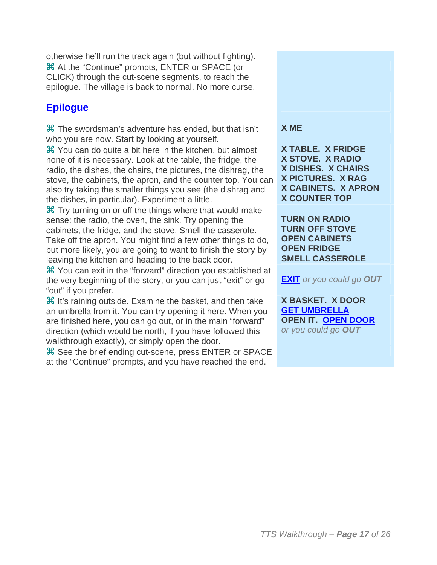otherwise he'll run the track again (but without fighting). At the "Continue" prompts, ENTER or SPACE (or CLICK) through the cut-scene segments, to reach the epilogue. The village is back to normal. No more curse.

### **Epilogue**

 The swordsman's adventure has ended, but that isn't who you are now. Start by looking at yourself.

 You can do quite a bit here in the kitchen, but almost none of it is necessary. Look at the table, the fridge, the radio, the dishes, the chairs, the pictures, the dishrag, the stove, the cabinets, the apron, and the counter top. You can also try taking the smaller things you see (the dishrag and the dishes, in particular). Experiment a little.

**X Try turning on or off the things where that would make** sense: the radio, the oven, the sink. Try opening the cabinets, the fridge, and the stove. Smell the casserole. Take off the apron. You might find a few other things to do, but more likely, you are going to want to finish the story by leaving the kitchen and heading to the back door.

 You can exit in the "forward" direction you established at the very beginning of the story, or you can just "exit" or go "out" if you prefer.

**H** It's raining outside. Examine the basket, and then take an umbrella from it. You can try opening it here. When you are finished here, you can go out, or in the main "forward" direction (which would be north, if you have followed this walkthrough exactly), or simply open the door.

 See the brief ending cut-scene, press ENTER or SPACE at the "Continue" prompts, and you have reached the end.

#### **X ME**

**X TABLE. X FRIDGE X STOVE. X RADIO X DISHES. X CHAIRS X PICTURES. X RAG X CABINETS. X APRON X COUNTER TOP**

**TURN ON RADIO TURN OFF STOVE OPEN CABINETS OPEN FRIDGE SMELL CASSEROLE**

**EXIT** *or you could go OUT*

**X BASKET. X DOOR GET UMBRELLA OPEN IT. OPEN DOOR** *or you could go OUT*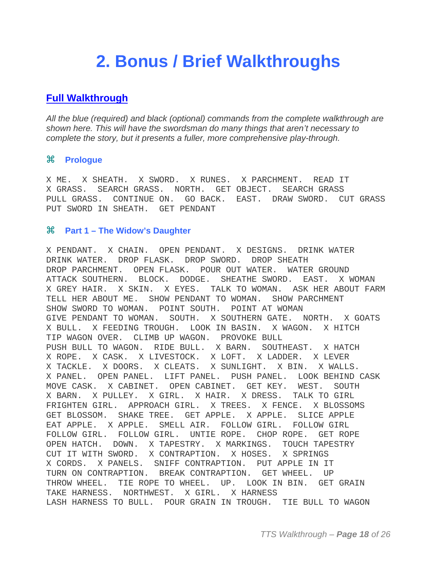## **2. Bonus / Brief Walkthroughs**

#### **Full Walkthrough**

*All the blue (required) and black (optional) commands from the complete walkthrough are shown here. This will have the swordsman do many things that aren't necessary to complete the story, but it presents a fuller, more comprehensive play-through.*

#### **Prologue**

X ME. X SHEATH. X SWORD. X RUNES. X PARCHMENT. READ IT X GRASS. SEARCH GRASS. NORTH. GET OBJECT. SEARCH GRASS PULL GRASS. CONTINUE ON. GO BACK. EAST. DRAW SWORD. CUT GRASS PUT SWORD IN SHEATH. GET PENDANT

#### **Part 1 – The Widow's Daughter**

X PENDANT. X CHAIN. OPEN PENDANT. X DESIGNS. DRINK WATER DRINK WATER. DROP FLASK. DROP SWORD. DROP SHEATH DROP PARCHMENT. OPEN FLASK. POUR OUT WATER. WATER GROUND ATTACK SOUTHERN. BLOCK. DODGE. SHEATHE SWORD. EAST. X WOMAN X GREY HAIR. X SKIN. X EYES. TALK TO WOMAN. ASK HER ABOUT FARM TELL HER ABOUT ME. SHOW PENDANT TO WOMAN. SHOW PARCHMENT SHOW SWORD TO WOMAN. POINT SOUTH. POINT AT WOMAN GIVE PENDANT TO WOMAN. SOUTH. X SOUTHERN GATE. NORTH. X GOATS X BULL. X FEEDING TROUGH. LOOK IN BASIN. X WAGON. X HITCH TIP WAGON OVER. CLIMB UP WAGON. PROVOKE BULL PUSH BULL TO WAGON. RIDE BULL. X BARN. SOUTHEAST. X HATCH X ROPE. X CASK. X LIVESTOCK. X LOFT. X LADDER. X LEVER X TACKLE. X DOORS. X CLEATS. X SUNLIGHT. X BIN. X WALLS. X PANEL. OPEN PANEL. LIFT PANEL. PUSH PANEL. LOOK BEHIND CASK MOVE CASK. X CABINET. OPEN CABINET. GET KEY. WEST. SOUTH X BARN. X PULLEY. X GIRL. X HAIR. X DRESS. TALK TO GIRL FRIGHTEN GIRL. APPROACH GIRL. X TREES. X FENCE. X BLOSSOMS GET BLOSSOM. SHAKE TREE. GET APPLE. X APPLE. SLICE APPLE EAT APPLE. X APPLE. SMELL AIR. FOLLOW GIRL. FOLLOW GIRL FOLLOW GIRL. FOLLOW GIRL. UNTIE ROPE. CHOP ROPE. GET ROPE OPEN HATCH. DOWN. X TAPESTRY. X MARKINGS. TOUCH TAPESTRY CUT IT WITH SWORD. X CONTRAPTION. X HOSES. X SPRINGS X CORDS. X PANELS. SNIFF CONTRAPTION. PUT APPLE IN IT TURN ON CONTRAPTION. BREAK CONTRAPTION. GET WHEEL. UP THROW WHEEL. TIE ROPE TO WHEEL. UP. LOOK IN BIN. GET GRAIN TAKE HARNESS. NORTHWEST. X GIRL. X HARNESS LASH HARNESS TO BULL. POUR GRAIN IN TROUGH. TIE BULL TO WAGON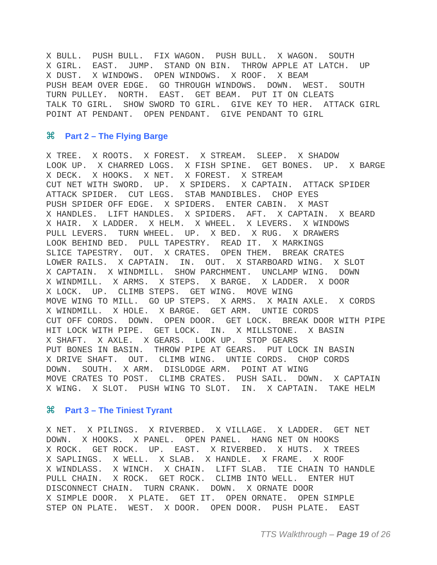X BULL. PUSH BULL. FIX WAGON. PUSH BULL. X WAGON. SOUTH X GIRL. EAST. JUMP. STAND ON BIN. THROW APPLE AT LATCH. UP X DUST. X WINDOWS. OPEN WINDOWS. X ROOF. X BEAM PUSH BEAM OVER EDGE. GO THROUGH WINDOWS. DOWN. WEST. SOUTH TURN PULLEY. NORTH. EAST. GET BEAM. PUT IT ON CLEATS TALK TO GIRL. SHOW SWORD TO GIRL. GIVE KEY TO HER. ATTACK GIRL POINT AT PENDANT. OPEN PENDANT. GIVE PENDANT TO GIRL

#### **Part 2 – The Flying Barge**

X TREE. X ROOTS. X FOREST. X STREAM. SLEEP. X SHADOW LOOK UP. X CHARRED LOGS. X FISH SPINE. GET BONES. UP. X BARGE X DECK. X HOOKS. X NET. X FOREST. X STREAM CUT NET WITH SWORD. UP. X SPIDERS. X CAPTAIN. ATTACK SPIDER ATTACK SPIDER. CUT LEGS. STAB MANDIBLES. CHOP EYES PUSH SPIDER OFF EDGE. X SPIDERS. ENTER CABIN. X MAST X HANDLES. LIFT HANDLES. X SPIDERS. AFT. X CAPTAIN. X BEARD X HAIR. X LADDER. X HELM. X WHEEL. X LEVERS. X WINDOWS PULL LEVERS. TURN WHEEL. UP. X BED. X RUG. X DRAWERS LOOK BEHIND BED. PULL TAPESTRY. READ IT. X MARKINGS SLICE TAPESTRY. OUT. X CRATES. OPEN THEM. BREAK CRATES LOWER RAILS. X CAPTAIN. IN. OUT. X STARBOARD WING. X SLOT X CAPTAIN. X WINDMILL. SHOW PARCHMENT. UNCLAMP WING. DOWN X WINDMILL. X ARMS. X STEPS. X BARGE. X LADDER. X DOOR X LOCK. UP. CLIMB STEPS. GET WING. MOVE WING MOVE WING TO MILL. GO UP STEPS. X ARMS. X MAIN AXLE. X CORDS X WINDMILL. X HOLE. X BARGE. GET ARM. UNTIE CORDS CUT OFF CORDS. DOWN. OPEN DOOR. GET LOCK. BREAK DOOR WITH PIPE HIT LOCK WITH PIPE. GET LOCK. IN. X MILLSTONE. X BASIN X SHAFT. X AXLE. X GEARS. LOOK UP. STOP GEARS PUT BONES IN BASIN. THROW PIPE AT GEARS. PUT LOCK IN BASIN X DRIVE SHAFT. OUT. CLIMB WING. UNTIE CORDS. CHOP CORDS DOWN. SOUTH. X ARM. DISLODGE ARM. POINT AT WING MOVE CRATES TO POST. CLIMB CRATES. PUSH SAIL. DOWN. X CAPTAIN X WING. X SLOT. PUSH WING TO SLOT. IN. X CAPTAIN. TAKE HELM

#### **Part 3 – The Tiniest Tyrant**

X NET. X PILINGS. X RIVERBED. X VILLAGE. X LADDER. GET NET DOWN. X HOOKS. X PANEL. OPEN PANEL. HANG NET ON HOOKS X ROCK. GET ROCK. UP. EAST. X RIVERBED. X HUTS. X TREES X SAPLINGS. X WELL. X SLAB. X HANDLE. X FRAME. X ROOF X WINDLASS. X WINCH. X CHAIN. LIFT SLAB. TIE CHAIN TO HANDLE PULL CHAIN. X ROCK. GET ROCK. CLIMB INTO WELL. ENTER HUT DISCONNECT CHAIN. TURN CRANK. DOWN. X ORNATE DOOR X SIMPLE DOOR. X PLATE. GET IT. OPEN ORNATE. OPEN SIMPLE STEP ON PLATE. WEST. X DOOR. OPEN DOOR. PUSH PLATE. EAST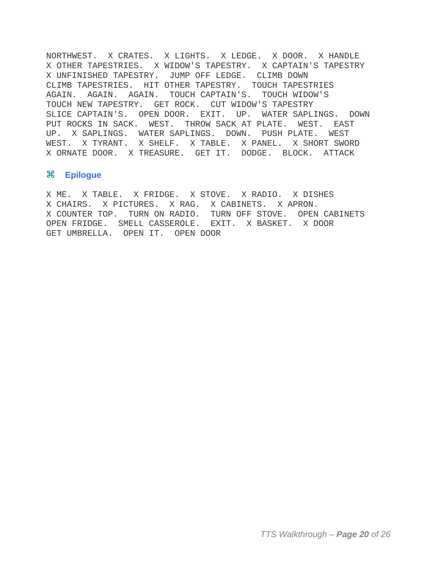NORTHWEST. X CRATES. X LIGHTS. X LEDGE. X DOOR. X HANDLE X OTHER TAPESTRIES. X WIDOW'S TAPESTRY. X CAPTAIN'S TAPESTRY X UNFINISHED TAPESTRY. JUMP OFF LEDGE. CLIMB DOWN CLIMB TAPESTRIES. HIT OTHER TAPESTRY. TOUCH TAPESTRIES AGAIN. AGAIN. AGAIN. TOUCH CAPTAIN'S. TOUCH WIDOW'S TOUCH NEW TAPESTRY. GET ROCK. CUT WIDOW'S TAPESTRY SLICE CAPTAIN'S. OPEN DOOR. EXIT. UP. WATER SAPLINGS. DOWN PUT ROCKS IN SACK. WEST. THROW SACK AT PLATE. WEST. EAST UP. X SAPLINGS. WATER SAPLINGS. DOWN. PUSH PLATE. WEST WEST. X TYRANT. X SHELF. X TABLE. X PANEL. X SHORT SWORD X ORNATE DOOR. X TREASURE. GET IT. DODGE. BLOCK. ATTACK

#### **Epilogue**

X ME. X TABLE. X FRIDGE. X STOVE. X RADIO. X DISHES X CHAIRS. X PICTURES. X RAG. X CABINETS. X APRON. X COUNTER TOP. TURN ON RADIO. TURN OFF STOVE. OPEN CABINETS OPEN FRIDGE. SMELL CASSEROLE. EXIT. X BASKET. X DOOR GET UMBRELLA. OPEN IT. OPEN DOOR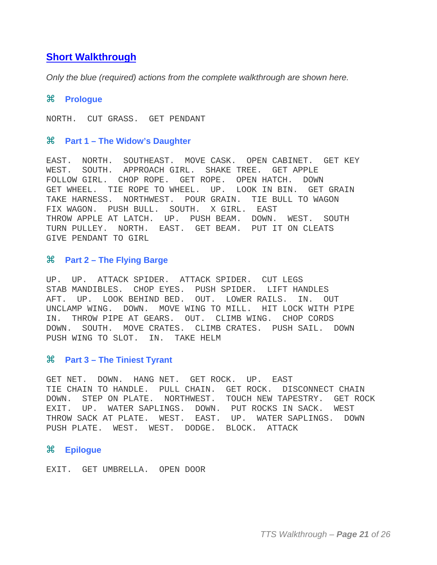#### **Short Walkthrough**

*Only the blue (required) actions from the complete walkthrough are shown here.*

#### **Prologue**

NORTH. CUT GRASS. GET PENDANT

#### **Part 1 – The Widow's Daughter**

EAST. NORTH. SOUTHEAST. MOVE CASK. OPEN CABINET. GET KEY WEST. SOUTH. APPROACH GIRL. SHAKE TREE. GET APPLE FOLLOW GIRL. CHOP ROPE. GET ROPE. OPEN HATCH. DOWN GET WHEEL. TIE ROPE TO WHEEL. UP. LOOK IN BIN. GET GRAIN TAKE HARNESS. NORTHWEST. POUR GRAIN. TIE BULL TO WAGON FIX WAGON. PUSH BULL. SOUTH. X GIRL. EAST THROW APPLE AT LATCH. UP. PUSH BEAM. DOWN. WEST. SOUTH TURN PULLEY. NORTH. EAST. GET BEAM. PUT IT ON CLEATS GIVE PENDANT TO GIRL

#### **Part 2 – The Flying Barge**

UP. UP. ATTACK SPIDER. ATTACK SPIDER. CUT LEGS STAB MANDIBLES. CHOP EYES. PUSH SPIDER. LIFT HANDLES AFT. UP. LOOK BEHIND BED. OUT. LOWER RAILS. IN. OUT UNCLAMP WING. DOWN. MOVE WING TO MILL. HIT LOCK WITH PIPE IN. THROW PIPE AT GEARS. OUT. CLIMB WING. CHOP CORDS DOWN. SOUTH. MOVE CRATES. CLIMB CRATES. PUSH SAIL. DOWN PUSH WING TO SLOT. IN. TAKE HELM

#### **Part 3 – The Tiniest Tyrant**

GET NET. DOWN. HANG NET. GET ROCK. UP. EAST TIE CHAIN TO HANDLE. PULL CHAIN. GET ROCK. DISCONNECT CHAIN DOWN. STEP ON PLATE. NORTHWEST. TOUCH NEW TAPESTRY. GET ROCK EXIT. UP. WATER SAPLINGS. DOWN. PUT ROCKS IN SACK. WEST THROW SACK AT PLATE. WEST. EAST. UP. WATER SAPLINGS. DOWN PUSH PLATE. WEST. WEST. DODGE. BLOCK. ATTACK

#### **Epilogue**

EXIT. GET UMBRELLA. OPEN DOOR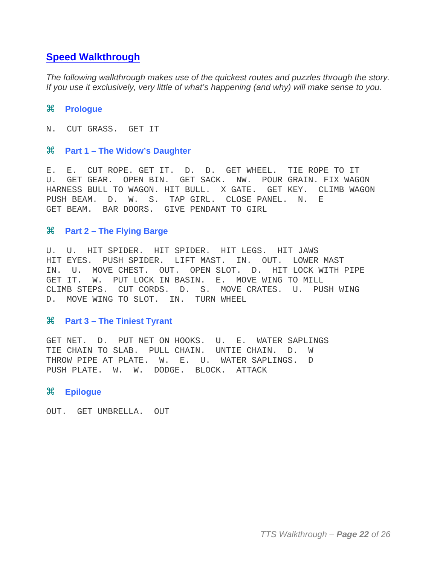#### **Speed Walkthrough**

*The following walkthrough makes use of the quickest routes and puzzles through the story. If you use it exclusively, very little of what's happening (and why) will make sense to you.*

#### **Prologue**

N. CUT GRASS. GET IT

#### **Part 1 – The Widow's Daughter**

E. E. CUT ROPE. GET IT. D. D. GET WHEEL. TIE ROPE TO IT U. GET GEAR. OPEN BIN. GET SACK. NW. POUR GRAIN. FIX WAGON HARNESS BULL TO WAGON. HIT BULL. X GATE. GET KEY. CLIMB WAGON PUSH BEAM. D. W. S. TAP GIRL. CLOSE PANEL. N. E GET BEAM. BAR DOORS. GIVE PENDANT TO GIRL

#### **Part 2 – The Flying Barge**

U. U. HIT SPIDER. HIT SPIDER. HIT LEGS. HIT JAWS HIT EYES. PUSH SPIDER. LIFT MAST. IN. OUT. LOWER MAST IN. U. MOVE CHEST. OUT. OPEN SLOT. D. HIT LOCK WITH PIPE GET IT. W. PUT LOCK IN BASIN. E. MOVE WING TO MILL CLIMB STEPS. CUT CORDS. D. S. MOVE CRATES. U. PUSH WING D. MOVE WING TO SLOT. IN. TURN WHEEL

#### **Part 3 – The Tiniest Tyrant**

GET NET. D. PUT NET ON HOOKS. U. E. WATER SAPLINGS TIE CHAIN TO SLAB. PULL CHAIN. UNTIE CHAIN. D. W THROW PIPE AT PLATE. W. E. U. WATER SAPLINGS. D PUSH PLATE. W. W. DODGE. BLOCK. ATTACK

#### **Epilogue**

OUT. GET UMBRELLA. OUT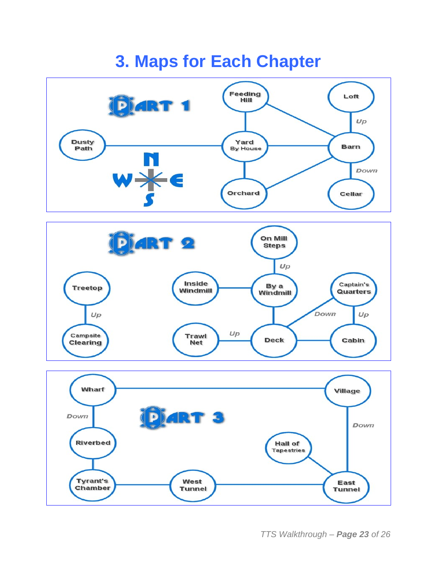## **3. Maps for Each Chapter**







*TTS Walkthrough – Page 23 of 26*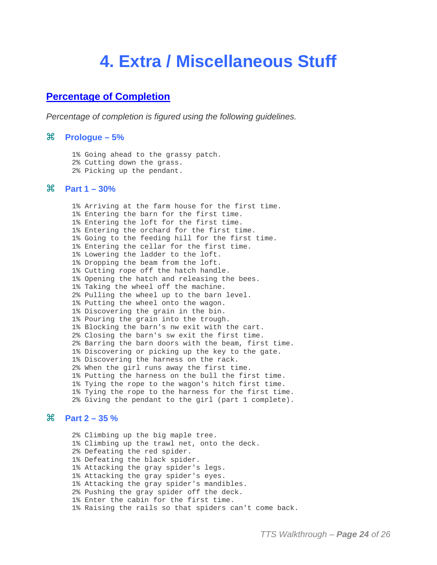### **4. Extra / Miscellaneous Stuff**

#### **Percentage of Completion**

*Percentage of completion is figured using the following guidelines.*

#### **Prologue – 5%**

 1% Going ahead to the grassy patch. 2% Cutting down the grass. 2% Picking up the pendant.

#### **Part 1 – 30%**

 1% Arriving at the farm house for the first time. 1% Entering the barn for the first time. 1% Entering the loft for the first time. 1% Entering the orchard for the first time. 1% Going to the feeding hill for the first time. 1% Entering the cellar for the first time. 1% Lowering the ladder to the loft. 1% Dropping the beam from the loft. 1% Cutting rope off the hatch handle. 1% Opening the hatch and releasing the bees. 1% Taking the wheel off the machine. 2% Pulling the wheel up to the barn level. 1% Putting the wheel onto the wagon. 1% Discovering the grain in the bin. 1% Pouring the grain into the trough. 1% Blocking the barn's nw exit with the cart. 2% Closing the barn's sw exit the first time. 2% Barring the barn doors with the beam, first time. 1% Discovering or picking up the key to the gate. 1% Discovering the harness on the rack. 2% When the girl runs away the first time. 1% Putting the harness on the bull the first time. 1% Tying the rope to the wagon's hitch first time. 1% Tying the rope to the harness for the first time. 2% Giving the pendant to the girl (part 1 complete).

#### **Part 2 – 35 %**

 2% Climbing up the big maple tree. 1% Climbing up the trawl net, onto the deck. 2% Defeating the red spider. 1% Defeating the black spider. 1% Attacking the gray spider's legs. 1% Attacking the gray spider's eyes. 1% Attacking the gray spider's mandibles. 2% Pushing the gray spider off the deck. 1% Enter the cabin for the first time. 1% Raising the rails so that spiders can't come back.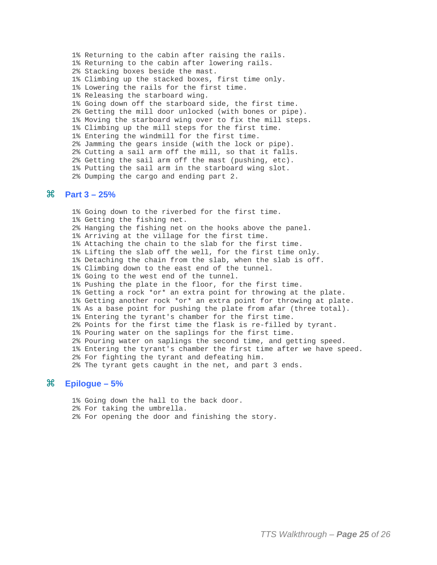1% Returning to the cabin after raising the rails. 1% Returning to the cabin after lowering rails. 2% Stacking boxes beside the mast. 1% Climbing up the stacked boxes, first time only. 1% Lowering the rails for the first time. 1% Releasing the starboard wing. 1% Going down off the starboard side, the first time. 2% Getting the mill door unlocked (with bones or pipe). 1% Moving the starboard wing over to fix the mill steps. 1% Climbing up the mill steps for the first time. 1% Entering the windmill for the first time. 2% Jamming the gears inside (with the lock or pipe). 2% Cutting a sail arm off the mill, so that it falls. 2% Getting the sail arm off the mast (pushing, etc). 1% Putting the sail arm in the starboard wing slot. 2% Dumping the cargo and ending part 2.

#### **Part 3 – 25%**

 1% Going down to the riverbed for the first time. 1% Getting the fishing net. 2% Hanging the fishing net on the hooks above the panel. 1% Arriving at the village for the first time. 1% Attaching the chain to the slab for the first time. 1% Lifting the slab off the well, for the first time only. 1% Detaching the chain from the slab, when the slab is off. 1% Climbing down to the east end of the tunnel. 1% Going to the west end of the tunnel. 1% Pushing the plate in the floor, for the first time. 1% Getting a rock \*or\* an extra point for throwing at the plate. 1% Getting another rock \*or\* an extra point for throwing at plate. 1% As a base point for pushing the plate from afar (three total). 1% Entering the tyrant's chamber for the first time. 2% Points for the first time the flask is re-filled by tyrant. 1% Pouring water on the saplings for the first time. 2% Pouring water on saplings the second time, and getting speed. 1% Entering the tyrant's chamber the first time after we have speed. 2% For fighting the tyrant and defeating him. 2% The tyrant gets caught in the net, and part 3 ends.

#### **Epilogue – 5%**

 1% Going down the hall to the back door. 2% For taking the umbrella. 2% For opening the door and finishing the story.